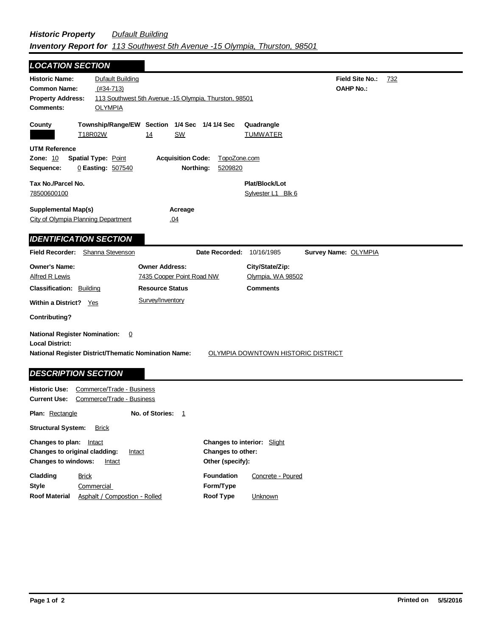## *Historic Property Dufault Building Inventory Report for 113 Southwest 5th Avenue -15 Olympia, Thurston, 98501*

| <b>LOCATION SECTION</b>                                                                                                                                              |                                                                  |                                                       |                                                         |                                            |     |
|----------------------------------------------------------------------------------------------------------------------------------------------------------------------|------------------------------------------------------------------|-------------------------------------------------------|---------------------------------------------------------|--------------------------------------------|-----|
| <b>Historic Name:</b><br><b>Common Name:</b><br><b>Property Address:</b><br><b>Comments:</b>                                                                         | <b>Dufault Building</b><br>$(#34-713)$<br><b>OLYMPIA</b>         | 113 Southwest 5th Avenue -15 Olympia, Thurston, 98501 |                                                         | <b>Field Site No.:</b><br><b>OAHP No.:</b> | 732 |
| County<br>T18R02W                                                                                                                                                    | Township/Range/EW Section 1/4 Sec 1/4 1/4 Sec<br>14              | <b>SW</b>                                             | Quadrangle<br><b>TUMWATER</b>                           |                                            |     |
| <b>UTM Reference</b><br>Zone: 10<br><b>Spatial Type: Point</b><br><b>Acquisition Code:</b><br>TopoZone.com<br>0 Easting: 507540<br>Northing:<br>5209820<br>Sequence: |                                                                  |                                                       |                                                         |                                            |     |
| Tax No./Parcel No.<br>78500600100                                                                                                                                    |                                                                  | Plat/Block/Lot<br>Sylvester L1 Blk 6                  |                                                         |                                            |     |
| <b>Supplemental Map(s)</b><br>Acreage<br>City of Olympia Planning Department<br>.04                                                                                  |                                                                  |                                                       |                                                         |                                            |     |
| <b>IDENTIFICATION SECTION</b>                                                                                                                                        |                                                                  |                                                       |                                                         |                                            |     |
| <b>Field Recorder:</b>                                                                                                                                               | Shanna Stevenson                                                 | Date Recorded:                                        | 10/16/1985                                              | Survey Name: OLYMPIA                       |     |
| <b>Owner's Name:</b><br><b>Alfred R Lewis</b><br><b>Classification: Building</b>                                                                                     | <b>Owner Address:</b><br><b>Resource Status</b>                  | 7435 Cooper Point Road NW                             | City/State/Zip:<br>Olympia, WA 98502<br><b>Comments</b> |                                            |     |
| Survey/Inventory<br><b>Within a District?</b> Yes                                                                                                                    |                                                                  |                                                       |                                                         |                                            |     |
| <b>Contributing?</b>                                                                                                                                                 |                                                                  |                                                       |                                                         |                                            |     |
| <b>National Register Nomination:</b><br><b>Local District:</b><br><b>DESCRIPTION SECTION</b>                                                                         | 0<br><b>National Register District/Thematic Nomination Name:</b> |                                                       | OLYMPIA DOWNTOWN HISTORIC DISTRICT                      |                                            |     |
| <b>Historic Use:</b><br><b>Current Use:</b>                                                                                                                          | Commerce/Trade - Business<br>Commerce/Trade - Business           |                                                       |                                                         |                                            |     |
| No. of Stories:<br>Plan: Rectangle<br>1                                                                                                                              |                                                                  |                                                       |                                                         |                                            |     |
| <b>Structural System:</b>                                                                                                                                            | <b>Brick</b>                                                     |                                                       |                                                         |                                            |     |

| Changes to plan:           | Intact                                         | <b>Changes to interior:</b> Slight |                   |
|----------------------------|------------------------------------------------|------------------------------------|-------------------|
|                            | <b>Changes to original cladding:</b><br>Intact | <b>Changes to other:</b>           |                   |
| <b>Changes to windows:</b> | Intact                                         | Other (specify):                   |                   |
| Cladding                   | <b>Brick</b>                                   | <b>Foundation</b>                  | Concrete - Poured |
| <b>Style</b>               | Commercial                                     | Form/Type                          |                   |
| <b>Roof Material</b>       | Asphalt / Compostion - Rolled                  | Roof Type                          | Unknown           |